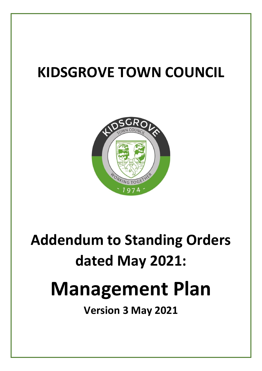# **KIDSGROVE TOWN COUNCIL**



# **Addendum to Standing Orders dated May 2021:**

# **Management Plan**

**Version 3 May 2021**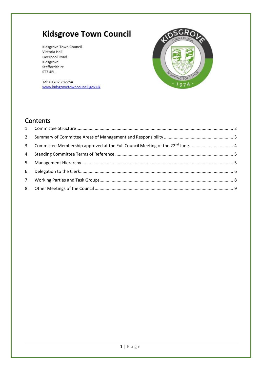Kidsgrove Town Council Victoria Hall Liverpool Road Kidsgrove Staffordshire ST7 4EL

SGROL **RAING TOGE**  $1974$ 

Tel: 01782 782254 www.kidsgrovetowncouncil.gov.uk

## Contents

| 3. Committee Membership approved at the Full Council Meeting of the 22 <sup>nd</sup> June.  4 |  |
|-----------------------------------------------------------------------------------------------|--|
|                                                                                               |  |
|                                                                                               |  |
|                                                                                               |  |
|                                                                                               |  |
|                                                                                               |  |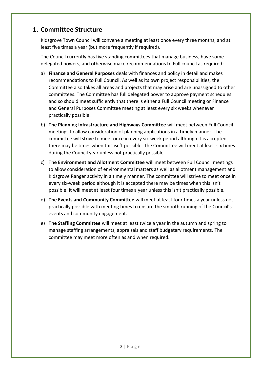## <span id="page-2-0"></span>**1. Committee Structure**

Kidsgrove Town Council will convene a meeting at least once every three months, and at least five times a year (but more frequently if required).

The Council currently has five standing committees that manage business, have some delegated powers, and otherwise make recommendations to Full council as required:

- a) **Finance and General Purposes** deals with finances and policy in detail and makes recommendations to Full Council. As well as its own project responsibilities, the Committee also takes all areas and projects that may arise and are unassigned to other committees. The Committee has full delegated power to approve payment schedules and so should meet sufficiently that there is either a Full Council meeting or Finance and General Purposes Committee meeting at least every six weeks whenever practically possible.
- b) **The Planning Infrastructure and Highways Committee** will meet between Full Council meetings to allow consideration of planning applications in a timely manner. The committee will strive to meet once in every six-week period although it is accepted there may be times when this isn't possible. The Committee will meet at least six times during the Council year unless not practically possible.
- c) **The Environment and Allotment Committee** will meet between Full Council meetings to allow consideration of environmental matters as well as allotment management and Kidsgrove Ranger activity in a timely manner. The committee will strive to meet once in every six-week period although it is accepted there may be times when this isn't possible. It will meet at least four times a year unless this isn't practically possible.
- d) **The Events and Community Committee** will meet at least four times a year unless not practically possible with meeting times to ensure the smooth running of the Council's events and community engagement.
- e) **The Staffing Committee** will meet at least twice a year in the autumn and spring to manage staffing arrangements, appraisals and staff budgetary requirements. The committee may meet more often as and when required.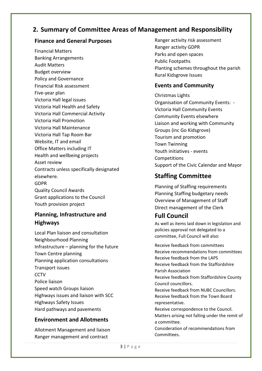## <span id="page-3-0"></span>**2. Summary of Committee Areas of Management and Responsibility**

## **Finance and General Purposes**

Financial Matters Banking Arrangements Audit Matters Budget overview Policy and Governance Financial Risk assessment Five-year plan Victoria Hall legal issues Victoria Hall Health and Safety Victoria Hall Commercial Activity Victoria Hall Promotion Victoria Hall Maintenance Victoria Hall Tap Room Bar Website, IT and email Office Matters including IT Health and wellbeing projects Asset review Contracts unless specifically designated elsewhere. GDPR Quality Council Awards Grant applications to the Council Youth provision project

## **Planning, Infrastructure and Highways**

Local Plan liaison and consultation Neighbourhood Planning Infrastructure – planning for the future Town Centre planning Planning application consultations Transport issues CCTV Police liaison Speed watch Groups liaison Highways issues and liaison with SCC Highways Safety Issues Hard pathways and pavements

## **Environment and Allotments**

Allotment Management and liaison Ranger management and contract

Ranger activity risk assessment Ranger activity GDPR Parks and open spaces Public Footpaths Planting schemes throughout the parish Rural Kidsgrove Issues

## **Events and Community**

Christmas Lights Organisation of Community Events: - Victoria Hall Community Events Community Events elsewhere Liaison and working with Community Groups (inc Go Kidsgrove) Tourism and promotion Town Twinning Youth initiatives - events **Competitions** Support of the Civic Calendar and Mayor

## **Staffing Committee**

Planning of Staffing requirements Planning Staffing budgetary needs Overview of Management of Staff Direct management of the Clerk

## **Full Council**

Committees.

As well as items laid down in legislation and policies approval not delegated to a committee, Full Council will also:

Receive feedback from committees Receive recommendations from committees Receive feedback from the LAPS Receive feedback from the Staffordshire Parish Association Receive feedback from Staffordshire County Council councillors. Receive feedback from NUBC Councillors. Receive feedback from the Town Board representative. Receive correspondence to the Council. Matters arising not falling under the remit of a committee. Consideration of recommendations from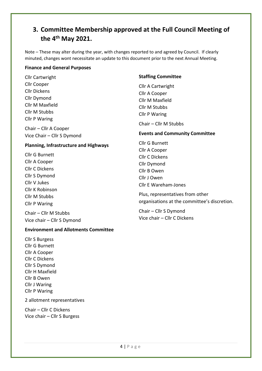## <span id="page-4-0"></span>**3. Committee Membership approved at the Full Council Meeting of the 4 th May 2021.**

Note – These may alter during the year, with changes reported to and agreed by Council. If clearly minuted, changes wont necessitate an update to this document prior to the next Annual Meeting.

#### **Finance and General Purposes**

Cllr Cartwright Cllr Cooper Cllr Dickens Cllr Dymond Cllr M Maxfield Cllr M Stubbs Cllr P Waring

Chair – Cllr A Cooper Vice Chair – Cllr S Dymond

### **Planning, Infrastructure and Highways**

Cllr G Burnett Cllr A Cooper Cllr C Dickens Cllr S Dymond Cllr V Jukes Cllr K Robinson Cllr M Stubbs Cllr P Waring

Chair – Cllr M Stubbs Vice chair – Cllr S Dymond

### **Environment and Allotments Committee**

Cllr S Burgess Cllr G Burnett Cllr A Cooper Cllr C Dickens Cllr S Dymond Cllr H Maxfield Cllr B Owen Cllr J Waring Cllr P Waring

2 allotment representatives

Chair – Cllr C Dickens Vice chair – Cllr S Burgess

### **Staffing Committee**

Cllr A Cartwright Cllr A Cooper Cllr M Maxfield Cllr M Stubbs Cllr P Waring

Chair – Cllr M Stubbs

## **Events and Community Committee**

Cllr G Burnett Cllr A Cooper Cllr C Dickens Cllr Dymond Cllr B Owen Cllr J Owen Cllr E Wareham-Jones

Plus, representatives from other organisations at the committee's discretion.

Chair – Cllr S Dymond Vice chair – Cllr C Dickens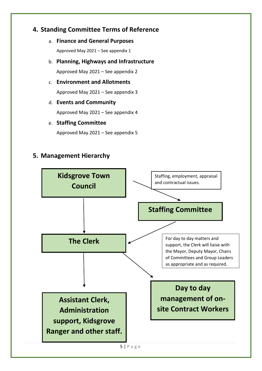## <span id="page-5-0"></span>**4. Standing Committee Terms of Reference**

a. **Finance and General Purposes**

Approved May 2021 – See appendix 1

b. **Planning, Highways and Infrastructure**

Approved May 2021 – See appendix 2

c. **Environment and Allotments**

Approved May 2021 – See appendix 3

## d. **Events and Community**

Approved May 2021 – See appendix 4

e. **Staffing Committee**

Approved May 2021 – See appendix 5

## <span id="page-5-1"></span>**5. Management Hierarchy**

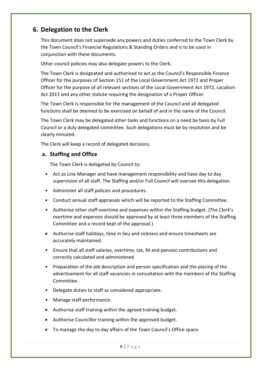## <span id="page-6-0"></span>**6. Delegation to the Clerk**

This document does not supersede any powers and duties conferred to the Town Clerk by the Town Council's Financial Regulations & Standing Orders and is to be used in conjunction with these documents.

Other council policies may also delegate powers to the Clerk.

The Town Clerk is designated and authorised to act as the Council's Responsible Finance Officer for the purposes of Section 151 of the Local Government Act 1972 and Proper Officer for the purpose of all relevant sections of the Local Government Act 1972, Localism Act 2013 and any other statute requiring the designation of a Proper Officer.

The Town Clerk is responsible for the management of the Council and all delegated functions shall be deemed to be exercised on behalf of and in the name of the Council.

The Town Clerk may be delegated other tasks and functions on a need be basis by Full Council or a duly delegated committee. Such delegations must be by resolution and be clearly minuted.

The Clerk will keep a record of delegated decisions.

## **a. Staffing and Office**

The Town Clerk is delegated by Council to:

- Act as Line Manager and have management responsibility and have day to day supervision of all staff. The Staffing and/or Full Council will oversee this delegation.
- Administer all staff policies and procedures.
- Conduct annual staff appraisals which will be reported to the Staffing Committee.
- Authorise other staff overtime and expenses within the Staffing budget. (The Clerk's overtime and expenses should be approved by at least three members of the Staffing Committee and a record kept of the approval.)
- Authorise staff holidays, time in lieu and sickness and ensure timesheets are accurately maintained.
- Ensure that all staff salaries, overtime, tax, NI and pension contributions and correctly calculated and administered.
- Preparation of the job description and person specification and the placing of the advertisement for all staff vacancies in consultation with the members of the Staffing Committee.
- Delegate duties to staff as considered appropriate.
- Manage staff performance.
- Authorise staff training within the agreed training budget.
- Authorise Councillor training within the approved budget.
- To manage the day to day affairs of the Town Council's Office space.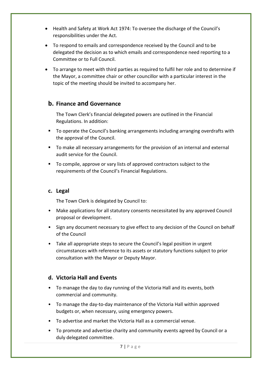- Health and Safety at Work Act 1974: To oversee the discharge of the Council's responsibilities under the Act.
- To respond to emails and correspondence received by the Council and to be delegated the decision as to which emails and correspondence need reporting to a Committee or to Full Council.
- To arrange to meet with third parties as required to fulfil her role and to determine if the Mayor, a committee chair or other councillor with a particular interest in the topic of the meeting should be invited to accompany her.

## **b. Finance and Governance**

The Town Clerk's financial delegated powers are outlined in the Financial Regulations. In addition:

- To operate the Council's banking arrangements including arranging overdrafts with the approval of the Council.
- To make all necessary arrangements for the provision of an internal and external audit service for the Council.
- To compile, approve or vary lists of approved contractors subject to the requirements of the Council's Financial Regulations.

## **c. Legal**

The Town Clerk is delegated by Council to:

- Make applications for all statutory consents necessitated by any approved Council proposal or development.
- Sign any document necessary to give effect to any decision of the Council on behalf of the Council
- Take all appropriate steps to secure the Council's legal position in urgent circumstances with reference to its assets or statutory functions subject to prior consultation with the Mayor or Deputy Mayor.

## **d. Victoria Hall and Events**

- To manage the day to day running of the Victoria Hall and its events, both commercial and community.
- To manage the day-to-day maintenance of the Victoria Hall within approved budgets or, when necessary, using emergency powers.
- To advertise and market the Victoria Hall as a commercial venue.
- To promote and advertise charity and community events agreed by Council or a duly delegated committee.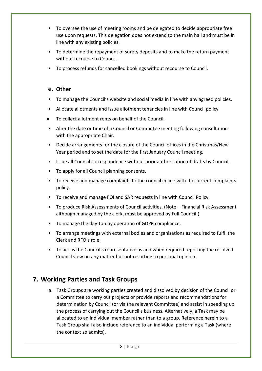- To oversee the use of meeting rooms and be delegated to decide appropriate free use upon requests. This delegation does not extend to the main hall and must be in line with any existing policies.
- To determine the repayment of surety deposits and to make the return payment without recourse to Council.
- To process refunds for cancelled bookings without recourse to Council.

## **e. Other**

- To manage the Council's website and social media in line with any agreed policies.
- Allocate allotments and issue allotment tenancies in line with Council policy.
- To collect allotment rents on behalf of the Council.
- Alter the date or time of a Council or Committee meeting following consultation with the appropriate Chair.
- Decide arrangements for the closure of the Council offices in the Christmas/New Year period and to set the date for the first January Council meeting.
- Issue all Council correspondence without prior authorisation of drafts by Council.
- To apply for all Council planning consents.
- To receive and manage complaints to the council in line with the current complaints policy.
- To receive and manage FOI and SAR requests in line with Council Policy.
- To produce Risk Assessments of Council activities. (Note Financial Risk Assessment although managed by the clerk, must be approved by Full Council.)
- To manage the day-to-day operation of GDPR compliance.
- To arrange meetings with external bodies and organisations as required to fulfil the Clerk and RFO's role.
- To act as the Council's representative as and when required reporting the resolved Council view on any matter but not resorting to personal opinion.

## <span id="page-8-0"></span>**7. Working Parties and Task Groups**

a. Task Groups are working parties created and dissolved by decision of the Council or a Committee to carry out projects or provide reports and recommendations for determination by Council (or via the relevant Committee) and assist in speeding up the process of carrying out the Council's business. Alternatively, a Task may be allocated to an individual member rather than to a group. Reference herein to a Task Group shall also include reference to an individual performing a Task (where the context so admits).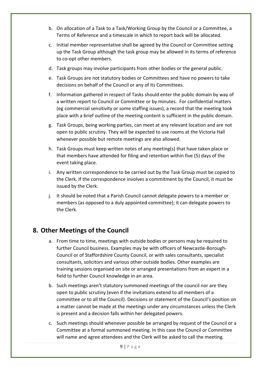- b. On allocation of a Task to a Task/Working Group by the Council or a Committee, a Terms of Reference and a timescale in which to report back will be allocated.
- c. Initial member representative shall be agreed by the Council or Committee setting up the Task Group although the task group may be allowed in its terms of reference to co-opt other members.
- d. Task groups may involve participants from other bodies or the general public.
- e. Task Groups are not statutory bodies or Committees and have no powers to take decisions on behalf of the Council or any of its Committees.
- f. Information gathered in respect of Tasks should enter the public domain by way of a written report to Council or Committee or by minutes. For confidential matters (eg commercial sensitivity or some staffing issues), a record that the meeting took place with a brief outline of the meeting content is sufficient in the public domain.
- g. Task Groups, being working parties, can meet at any relevant location and are not open to public scrutiny. They will be expected to use rooms at the Victoria Hall whenever possible but remote meetings are also allowed.
- h. Task Groups must keep written notes of any meeting(s) that have taken place or that members have attended for filing and retention within five (5) days of the event taking place.
- i. Any written correspondence to be carried out by the Task Group must be copied to the Clerk. If the correspondence involves a commitment by the Council, it must be issued by the Clerk.
- j. It should be noted that a Parish Council cannot delegate powers to a member or members (as opposed to a duly appointed committee); it can delegate powers to the Clerk.

## <span id="page-9-0"></span>**8. Other Meetings of the Council**

- a. From time to time, meetings with outside bodies or persons may be required to further Council business. Examples may be with officers of Newcastle-Borough-Council or of Staffordshire County Council, or with sales consultants, specialist consultants, solicitors and various other outside bodies. Other examples are training sessions organised on site or arranged presentations from an expert in a field to further Council knowledge in an area.
- b. Such meetings aren't statutory summoned meetings of the council nor are they open to public scrutiny (even if the invitations extend to all members of a committee or to all the Council). Decisions or statement of the Council's position on a matter cannot be made at the meetings under any circumstances unless the Clerk is present and a decision falls within her delegated powers.
- c. Such meetings should whenever possible be arranged by request of the Council or a Committee at a formal summoned meeting. In this case the Council or Committee will name and agree attendees and the Clerk will be asked to call the meeting.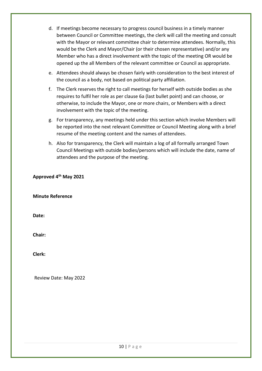- d. If meetings become necessary to progress council business in a timely manner between Council or Committee meetings, the clerk will call the meeting and consult with the Mayor or relevant committee chair to determine attendees. Normally, this would be the Clerk and Mayor/Chair (or their chosen representative) and/or any Member who has a direct involvement with the topic of the meeting OR would be opened up the all Members of the relevant committee or Council as appropriate.
- e. Attendees should always be chosen fairly with consideration to the best interest of the council as a body, not based on political party affiliation.
- f. The Clerk reserves the right to call meetings for herself with outside bodies as she requires to fulfil her role as per clause 6a (last bullet point) and can choose, or otherwise, to include the Mayor, one or more chairs, or Members with a direct involvement with the topic of the meeting.
- g. For transparency, any meetings held under this section which involve Members will be reported into the next relevant Committee or Council Meeting along with a brief resume of the meeting content and the names of attendees.
- h. Also for transparency, the Clerk will maintain a log of all formally arranged Town Council Meetings with outside bodies/persons which will include the date, name of attendees and the purpose of the meeting.

**Approved 4 th May 2021**

**Minute Reference**

**Date:**

**Chair:**

**Clerk:**

Review Date: May 2022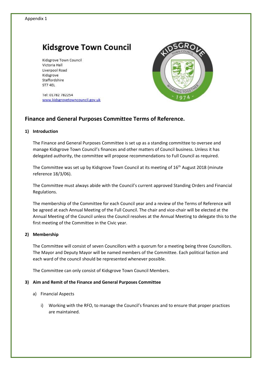Kidsgrove Town Council Victoria Hall Liverpool Road Kidsgrove Staffordshire ST7 4EL

Tel: 01782 782254 www.kidsgrovetowncouncil.gov.uk



## **Finance and General Purposes Committee Terms of Reference.**

#### **1) Introduction**

The Finance and General Purposes Committee is set up as a standing committee to oversee and manage Kidsgrove Town Council's finances and other matters of Council business. Unless it has delegated authority, the committee will propose recommendations to Full Council as required.

The Committee was set up by Kidsgrove Town Council at its meeting of 16<sup>th</sup> August 2018 (minute reference 18/3/06).

The Committee must always abide with the Council's current approved Standing Orders and Financial Regulations.

The membership of the Committee for each Council year and a review of the Terms of Reference will be agreed at each Annual Meeting of the Full Council. The chair and vice-chair will be elected at the Annual Meeting of the Council unless the Council resolves at the Annual Meeting to delegate this to the first meeting of the Committee in the Civic year.

### **2) Membership**

The Committee will consist of seven Councillors with a quorum for a meeting being three Councillors. The Mayor and Deputy Mayor will be named members of the Committee. Each political faction and each ward of the council should be represented whenever possible.

The Committee can only consist of Kidsgrove Town Council Members.

### **3) Aim and Remit of the Finance and General Purposes Committee**

- a) Financial Aspects
	- i) Working with the RFO, to manage the Council's finances and to ensure that proper practices are maintained.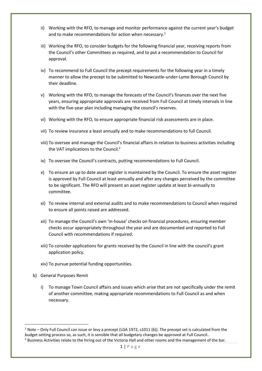- ii) Working with the RFO, to manage and monitor performance against the current year's budget and to make recommendations for action when necessary.<sup>1</sup>
- iii) Working the RFO, to consider budgets for the following financial year, receiving reports from the Council's other Committees as required, and to put a recommendation to Council for approval.
- iv) To recommend to Full Council the precept requirements for the following year in a timely manner to allow the precept to be submitted to Newcastle-under-Lyme Borough Council by their deadline.
- v) Working with the RFO, to manage the forecasts of the Council's finances over the next five years, ensuring appropriate approvals are received from Full Council at timely intervals in line with the five-year plan including managing the council's reserves.
- vi) Working with the RFO, to ensure appropriate financial risk assessments are in place.
- vii) To review insurance a least annually and to make recommendations to full Council.
- viii) To oversee and manage the Council's financial affairs in relation to business activities including the VAT implications to the Council.<sup>2</sup>
- ix) To oversee the Council's contracts, putting recommendations to Full Council.
- x) To ensure an up to date asset register is maintained by the Council. To ensure the asset register is approved by Full Council at least annually and after any changes perceived by the committee to be significant. The RFO will present an asset register update at least bi-annually to committee.
- xi) To review internal and external audits and to make recommendations to Council when required to ensure all points raised are addressed.
- xii) To manage the Council's own 'in-house' checks on financial procedures, ensuring member checks occur appropriately throughout the year and are documented and reported to Full Council with recommendations if required.
- xiii) To consider applications for grants received by the Council in line with the council's grant application policy.
- xiv) To pursue potential funding opportunities.
- b) General Purposes Remit
	- i) To manage Town Council affairs and issues which arise that are not specifically under the remit of another committee, making appropriate recommendations to Full Council as and when necessary.

 $1$  Note – Only Full Council can issue or levy a precept (LGA 1972, s1011 (6)). The precept set is calculated from the budget setting process so, as such, it is sensible that all budgetary changes be approved at Full Council.. <sup>2</sup> Business Activities relate to the hiring out of the Victoria Hall and other rooms and the management of the bar.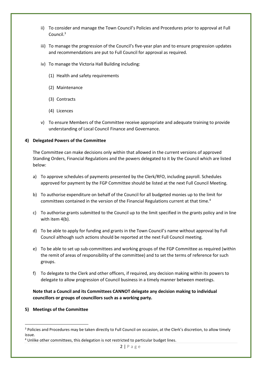- ii) To consider and manage the Town Council's Policies and Procedures prior to approval at Full Council.<sup>3</sup>
- iii) To manage the progression of the Council's five-year plan and to ensure progression updates and recommendations are put to Full Council for approval as required.
- iv) To manage the Victoria Hall Building including:
	- (1) Health and safety requirements
	- (2) Maintenance
	- (3) Contracts
	- (4) Licences
- v) To ensure Members of the Committee receive appropriate and adequate training to provide understanding of Local Council Finance and Governance.

#### **4) Delegated Powers of the Committee**

The Committee can make decisions only within that allowed in the current versions of approved Standing Orders, Financial Regulations and the powers delegated to it by the Council which are listed below:

- a) To approve schedules of payments presented by the Clerk/RFO, including payroll. Schedules approved for payment by the FGP Committee should be listed at the next Full Council Meeting.
- b) To authorise expenditure on behalf of the Council for all budgeted monies up to the limit for committees contained in the version of the Financial Regulations current at that time.<sup>4</sup>
- c) To authorise grants submitted to the Council up to the limit specified in the grants policy and in line with item 4(b).
- d) To be able to apply for funding and grants in the Town Council's name without approval by Full Council although such actions should be reported at the next Full Council meeting.
- e) To be able to set up sub-committees and working groups of the FGP Committee as required (within the remit of areas of responsibility of the committee) and to set the terms of reference for such groups.
- f) To delegate to the Clerk and other officers, if required, any decision making within its powers to delegate to allow progression of Council business in a timely manner between meetings.

**Note that a Council and its Committees CANNOT delegate any decision making to individual councillors or groups of councillors such as a working party.** 

**5) Meetings of the Committee**

<sup>&</sup>lt;sup>3</sup> Policies and Procedures may be taken directly to Full Council on occasion, at the Clerk's discretion, to allow timely issue.

<sup>4</sup> Unlike other committees, this delegation is not restricted to particular budget lines.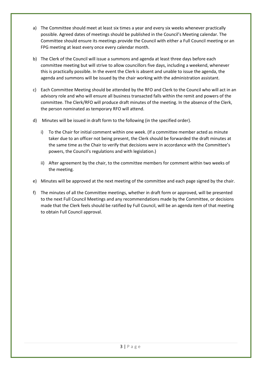- a) The Committee should meet at least six times a year and every six weeks whenever practically possible. Agreed dates of meetings should be published in the Council's Meeting calendar. The Committee should ensure its meetings provide the Council with either a Full Council meeting or an FPG meeting at least every once every calendar month.
- b) The Clerk of the Council will issue a summons and agenda at least three days before each committee meeting but will strive to allow councillors five days, including a weekend, whenever this is practically possible. In the event the Clerk is absent and unable to issue the agenda, the agenda and summons will be issued by the chair working with the administration assistant.
- c) Each Committee Meeting should be attended by the RFO and Clerk to the Council who will act in an advisory role and who will ensure all business transacted falls within the remit and powers of the committee. The Clerk/RFO will produce draft minutes of the meeting. In the absence of the Clerk, the person nominated as temporary RFO will attend.
- d) Minutes will be issued in draft form to the following (in the specified order).
	- i) To the Chair for initial comment within one week. (If a committee member acted as minute taker due to an officer not being present, the Clerk should be forwarded the draft minutes at the same time as the Chair to verify that decisions were in accordance with the Committee's powers, the Council's regulations and with legislation.)
	- ii) After agreement by the chair, to the committee members for comment within two weeks of the meeting.
- e) Minutes will be approved at the next meeting of the committee and each page signed by the chair.
- f) The minutes of all the Committee meetings, whether in draft form or approved, will be presented to the next Full Council Meetings and any recommendations made by the Committee, or decisions made that the Clerk feels should be ratified by Full Council, will be an agenda item of that meeting to obtain Full Council approval.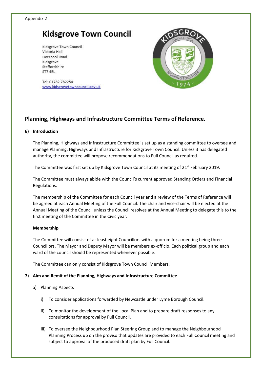Kidsgrove Town Council Victoria Hall Liverpool Road Kidsgrove Staffordshire ST7 4EL

Tel: 01782 782254 www.kidsgrovetowncouncil.gov.uk

## **Planning, Highways and Infrastructure Committee Terms of Reference.**

### **6) Introduction**

The Planning, Highways and Infrastructure Committee is set up as a standing committee to oversee and manage Planning, Highways and Infrastructure for Kidsgrove Town Council. Unless it has delegated authority, the committee will propose recommendations to Full Council as required.

The Committee was first set up by Kidsgrove Town Council at its meeting of 21<sup>st</sup> February 2019.

The Committee must always abide with the Council's current approved Standing Orders and Financial Regulations.

The membership of the Committee for each Council year and a review of the Terms of Reference will be agreed at each Annual Meeting of the Full Council. The chair and vice-chair will be elected at the Annual Meeting of the Council unless the Council resolves at the Annual Meeting to delegate this to the first meeting of the Committee in the Civic year.

### **Membership**

The Committee will consist of at least eight Councillors with a quorum for a meeting being three Councillors. The Mayor and Deputy Mayor will be members ex-officio. Each political group and each ward of the council should be represented whenever possible.

The Committee can only consist of Kidsgrove Town Council Members.

## **7) Aim and Remit of the Planning, Highways and Infrastructure Committee**

- a) Planning Aspects
	- i) To consider applications forwarded by Newcastle under Lyme Borough Council.
	- ii) To monitor the development of the Local Plan and to prepare draft responses to any consultations for approval by Full Council.
	- iii) To oversee the Neighbourhood Plan Steering Group and to manage the Neighbourhood Planning Process up on the proviso that updates are provided to each Full Council meeting and subject to approval of the produced draft plan by Full Council.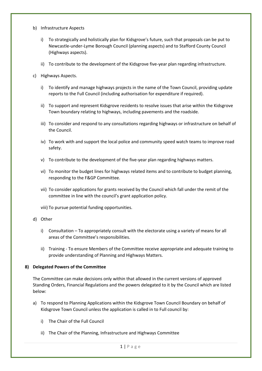- b) Infrastructure Aspects
	- i) To strategically and holistically plan for Kidsgrove's future, such that proposals can be put to Newcastle-under-Lyme Borough Council (planning aspects) and to Stafford County Council (Highways aspects).
	- ii) To contribute to the development of the Kidsgrove five-year plan regarding infrastructure.
- c) Highways Aspects.
	- i) To identify and manage highways projects in the name of the Town Council, providing update reports to the Full Council (including authorisation for expenditure if required).
	- ii) To support and represent Kidsgrove residents to resolve issues that arise within the Kidsgrove Town boundary relating to highways, including pavements and the roadside.
	- iii) To consider and respond to any consultations regarding highways or infrastructure on behalf of the Council.
	- iv) To work with and support the local police and community speed watch teams to improve road safety.
	- v) To contribute to the development of the five-year plan regarding highways matters.
	- vi) To monitor the budget lines for highways related items and to contribute to budget planning, responding to the F&GP Committee.
	- vii) To consider applications for grants received by the Council which fall under the remit of the committee in line with the council's grant application policy.
	- viii) To pursue potential funding opportunities.
- d) Other
	- i) Consultation To appropriately consult with the electorate using a variety of means for all areas of the Committee's responsibilities.
	- ii) Training To ensure Members of the Committee receive appropriate and adequate training to provide understanding of Planning and Highways Matters.

### **8) Delegated Powers of the Committee**

The Committee can make decisions only within that allowed in the current versions of approved Standing Orders, Financial Regulations and the powers delegated to it by the Council which are listed below:

- a) To respond to Planning Applications within the Kidsgrove Town Council Boundary on behalf of Kidsgrove Town Council unless the application is called in to Full council by:
	- i) The Chair of the Full Council
	- ii) The Chair of the Planning, Infrastructure and Highways Committee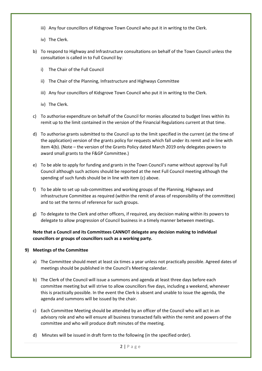- iii) Any four councillors of Kidsgrove Town Council who put it in writing to the Clerk.
- iv) The Clerk.
- b) To respond to Highway and Infrastructure consultations on behalf of the Town Council unless the consultation is called in to Full Council by:
	- i) The Chair of the Full Council
	- ii) The Chair of the Planning, Infrastructure and Highways Committee
	- iii) Any four councillors of Kidsgrove Town Council who put it in writing to the Clerk.
	- iv) The Clerk.
- c) To authorise expenditure on behalf of the Council for monies allocated to budget lines within its remit up to the limit contained in the version of the Financial Regulations current at that time.
- d) To authorise grants submitted to the Council up to the limit specified in the current (at the time of the application) version of the grants policy for requests which fall under its remit and in line with item 4(b). (Note – the version of the Grants Policy dated March 2019 only delegates powers to award small grants to the F&GP Committee.)
- e) To be able to apply for funding and grants in the Town Council's name without approval by Full Council although such actions should be reported at the next Full Council meeting although the spending of such funds should be in line with item (c) above.
- f) To be able to set up sub-committees and working groups of the Planning, Highways and infrastructure Committee as required (within the remit of areas of responsibility of the committee) and to set the terms of reference for such groups.
- g) To delegate to the Clerk and other officers, if required, any decision making within its powers to delegate to allow progression of Council business in a timely manner between meetings.

**Note that a Council and its Committees CANNOT delegate any decision making to individual councillors or groups of councillors such as a working party.** 

### **9) Meetings of the Committee**

- a) The Committee should meet at least six times a year unless not practically possible. Agreed dates of meetings should be published in the Council's Meeting calendar.
- b) The Clerk of the Council will issue a summons and agenda at least three days before each committee meeting but will strive to allow councillors five days, including a weekend, whenever this is practically possible. In the event the Clerk is absent and unable to issue the agenda, the agenda and summons will be issued by the chair.
- c) Each Committee Meeting should be attended by an officer of the Council who will act in an advisory role and who will ensure all business transacted falls within the remit and powers of the committee and who will produce draft minutes of the meeting.
- d) Minutes will be issued in draft form to the following (in the specified order).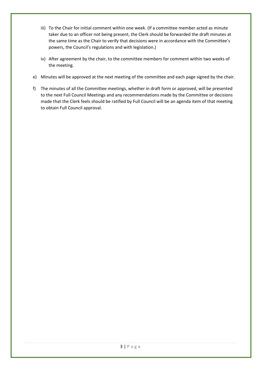- iii) To the Chair for initial comment within one week. (If a committee member acted as minute taker due to an officer not being present, the Clerk should be forwarded the draft minutes at the same time as the Chair to verify that decisions were in accordance with the Committee's powers, the Council's regulations and with legislation.)
- iv) After agreement by the chair, to the committee members for comment within two weeks of the meeting.
- e) Minutes will be approved at the next meeting of the committee and each page signed by the chair.
- f) The minutes of all the Committee meetings, whether in draft form or approved, will be presented to the next Full Council Meetings and any recommendations made by the Committee or decisions made that the Clerk feels should be ratified by Full Council will be an agenda item of that meeting to obtain Full Council approval.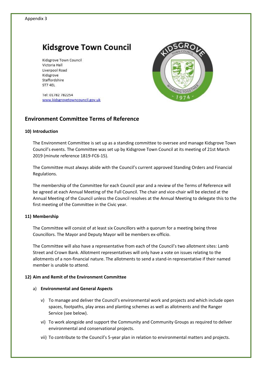Kidsgrove Town Council Victoria Hall Liverpool Road Kidsgrove Staffordshire ST7 4EL

Tel: 01782 782254 www.kidsgrovetowncouncil.gov.uk



## **Environment Committee Terms of Reference**

#### **10) Introduction**

The Environment Committee is set up as a standing committee to oversee and manage Kidsgrove Town Council's events. The Committee was set up by Kidsgrove Town Council at its meeting of 21st March 2019 (minute reference 1819-FC6-15).

The Committee must always abide with the Council's current approved Standing Orders and Financial Regulations.

The membership of the Committee for each Council year and a review of the Terms of Reference will be agreed at each Annual Meeting of the Full Council. The chair and vice-chair will be elected at the Annual Meeting of the Council unless the Council resolves at the Annual Meeting to delegate this to the first meeting of the Committee in the Civic year.

### **11) Membership**

The Committee will consist of at least six Councillors with a quorum for a meeting being three Councillors. The Mayor and Deputy Mayor will be members ex-officio.

The Committee will also have a representative from each of the Council's two allotment sites: Lamb Street and Crown Bank. Allotment representatives will only have a vote on issues relating to the allotments of a non-financial nature. The allotments to send a stand-in representative if their named member is unable to attend.

### **12) Aim and Remit of the Environment Committee**

#### a) **Environmental and General Aspects**

- v) To manage and deliver the Council's environmental work and projects and which include open spaces, footpaths, play areas and planting schemes as well as allotments and the Ranger Service (see below).
- vi) To work alongside and support the Community and Community Groups as required to deliver environmental and conservational projects.
- vii) To contribute to the Council's 5-year plan in relation to environmental matters and projects.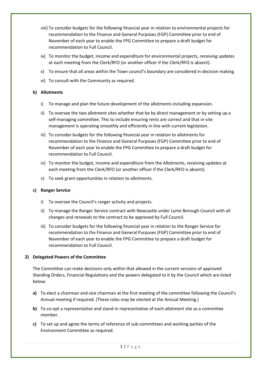- viii) To consider budgets for the following financial year in relation to environmental projects for recommendation to the Finance and General Purposes (FGP) Committee prior to end of November of each year to enable the FPG Committee to prepare a draft budget for recommendation to Full Council.
- ix) To monitor the budget, income and expenditure for environmental projects, receiving updates at each meeting from the Clerk/RFO (or another officer if the Clerk/RFO is absent).
- x) To ensure that all areas within the Town council's boundary are considered in decision making.
- xi) To consult with the Community as required.

## **b) Allotments**

- i) To manage and plan the future development of the allotments including expansion.
- ii) To oversee the two allotment sites whether that be by direct management or by setting up a self-managing committee. This to include ensuring rents are correct and that in-site management is operating smoothly and efficiently in line with current legislation.
- iii) To consider budgets for the following financial year in relation to allotments for recommendation to the Finance and General Purposes (FGP) Committee prior to end of November of each year to enable the FPG Committee to prepare a draft budget for recommendation to Full Council.
- iv) To monitor the budget, income and expenditure from the Allotments, receiving updates at each meeting from the Clerk/RFO (or another officer if the Clerk/RFO is absent).
- v) To seek grant opportunities in relation to allotments.

### **c) Ranger Service**

- i) To oversee the Council's ranger activity and projects.
- ii) To manage the Ranger Service contract with Newcastle under Lyme Borough Council with all changes and renewals to the contract to be approved by Full Council.
- iii) To consider budgets for the following financial year in relation to the Ranger Service for recommendation to the Finance and General Purposes (FGP) Committee prior to end of November of each year to enable the FPG Committee to prepare a draft budget for recommendation to Full Council.

## **2) Delegated Powers of the Committee**

The Committee can make decisions only within that allowed in the current versions of approved Standing Orders, Financial Regulations and the powers delegated to it by the Council which are listed below:

- **a)** To elect a chairman and vice chairman at the first meeting of the committee following the Council's Annual meeting if required. (These roles may be elected at the Annual Meeting.)
- **b)** To co-opt a representative and stand-in representative of each allotment site as a committee member.
- **c)** To set up and agree the terms of reference of sub-committees and working parties of the Environment Committee as required.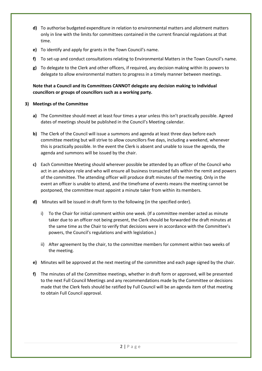- **d)** To authorise budgeted expenditure in relation to environmental matters and allotment matters only in line with the limits for committees contained in the current financial regulations at that time.
- **e)** To identify and apply for grants in the Town Council's name.
- **f)** To set-up and conduct consultations relating to Environmental Matters in the Town Council's name.
- **g)** To delegate to the Clerk and other officers, if required, any decision making within its powers to delegate to allow environmental matters to progress in a timely manner between meetings.

## **Note that a Council and its Committees CANNOT delegate any decision making to individual councillors or groups of councillors such as a working party.**

## **3) Meetings of the Committee**

- **a)** The Committee should meet at least four times a year unless this isn't practically possible. Agreed dates of meetings should be published in the Council's Meeting calendar.
- **b)** The Clerk of the Council will issue a summons and agenda at least three days before each committee meeting but will strive to allow councillors five days, including a weekend, whenever this is practically possible. In the event the Clerk is absent and unable to issue the agenda, the agenda and summons will be issued by the chair.
- **c)** Each Committee Meeting should wherever possible be attended by an officer of the Council who act in an advisory role and who will ensure all business transacted falls within the remit and powers of the committee. The attending officer will produce draft minutes of the meeting. Only in the event an officer is unable to attend, and the timeframe of events means the meeting cannot be postponed, the committee must appoint a minute taker from within its members.
- **d)** Minutes will be issued in draft form to the following (in the specified order).
	- i) To the Chair for initial comment within one week. (If a committee member acted as minute taker due to an officer not being present, the Clerk should be forwarded the draft minutes at the same time as the Chair to verify that decisions were in accordance with the Committee's powers, the Council's regulations and with legislation.)
	- ii) After agreement by the chair, to the committee members for comment within two weeks of the meeting.
- **e)** Minutes will be approved at the next meeting of the committee and each page signed by the chair.
- **f)** The minutes of all the Committee meetings, whether in draft form or approved, will be presented to the next Full Council Meetings and any recommendations made by the Committee or decisions made that the Clerk feels should be ratified by Full Council will be an agenda item of that meeting to obtain Full Council approval.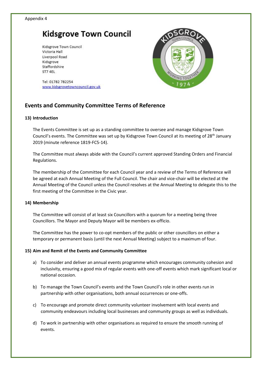Kidsgrove Town Council Victoria Hall Liverpool Road Kidsgrove Staffordshire ST7 4EL



Tel: 01782 782254 www.kidsgrovetowncouncil.gov.uk

## **Events and Community Committee Terms of Reference**

#### **13) Introduction**

The Events Committee is set up as a standing committee to oversee and manage Kidsgrove Town Council's events. The Committee was set up by Kidsgrove Town Council at its meeting of 28<sup>th</sup> January 2019 (minute reference 1819-FC5-14).

The Committee must always abide with the Council's current approved Standing Orders and Financial Regulations.

The membership of the Committee for each Council year and a review of the Terms of Reference will be agreed at each Annual Meeting of the Full Council. The chair and vice-chair will be elected at the Annual Meeting of the Council unless the Council resolves at the Annual Meeting to delegate this to the first meeting of the Committee in the Civic year.

### **14) Membership**

The Committee will consist of at least six Councillors with a quorum for a meeting being three Councillors. The Mayor and Deputy Mayor will be members ex-officio.

The Committee has the power to co-opt members of the public or other councillors on either a temporary or permanent basis (until the next Annual Meeting) subject to a maximum of four.

### **15) Aim and Remit of the Events and Community Committee**

- a) To consider and deliver an annual events programme which encourages community cohesion and inclusivity, ensuring a good mix of regular events with one-off events which mark significant local or national occasion.
- b) To manage the Town Council's events and the Town Council's role in other events run in partnership with other organisations, both annual occurrences or one-offs.
- c) To encourage and promote direct community volunteer involvement with local events and community endeavours including local businesses and community groups as well as individuals.
- d) To work in partnership with other organisations as required to ensure the smooth running of events.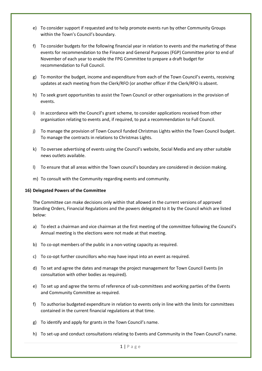- e) To consider support if requested and to help promote events run by other Community Groups within the Town's Council's boundary.
- f) To consider budgets for the following financial year in relation to events and the marketing of these events for recommendation to the Finance and General Purposes (FGP) Committee prior to end of November of each year to enable the FPG Committee to prepare a draft budget for recommendation to Full Council.
- g) To monitor the budget, income and expenditure from each of the Town Council's events, receiving updates at each meeting from the Clerk/RFO (or another officer if the Clerk/RFO is absent.
- h) To seek grant opportunities to assist the Town Council or other organisations in the provision of events.
- i) In accordance with the Council's grant scheme, to consider applications received from other organisation relating to events and, if required, to put a recommendation to Full Council.
- j) To manage the provision of Town Council funded Christmas Lights within the Town Council budget. To manage the contracts in relations to Christmas Lights.
- k) To oversee advertising of events using the Council's website, Social Media and any other suitable news outlets available.
- l) To ensure that all areas within the Town council's boundary are considered in decision making.
- m) To consult with the Community regarding events and community.

#### **16) Delegated Powers of the Committee**

The Committee can make decisions only within that allowed in the current versions of approved Standing Orders, Financial Regulations and the powers delegated to it by the Council which are listed below:

- a) To elect a chairman and vice chairman at the first meeting of the committee following the Council's Annual meeting is the elections were not made at that meeting.
- b) To co-opt members of the public in a non-voting capacity as required.
- c) To co-opt further councillors who may have input into an event as required.
- d) To set and agree the dates and manage the project management for Town Council Events (in consultation with other bodies as required).
- e) To set up and agree the terms of reference of sub-committees and working parties of the Events and Community Committee as required.
- f) To authorise budgeted expenditure in relation to events only in line with the limits for committees contained in the current financial regulations at that time.
- g) To identify and apply for grants in the Town Council's name.
- h) To set-up and conduct consultations relating to Events and Community in the Town Council's name.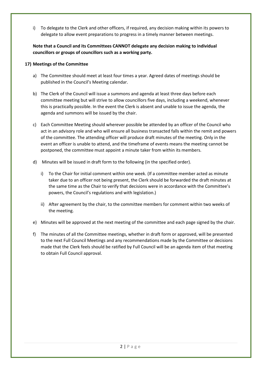i) To delegate to the Clerk and other officers, if required, any decision making within its powers to delegate to allow event preparations to progress in a timely manner between meetings.

**Note that a Council and its Committees CANNOT delegate any decision making to individual councillors or groups of councillors such as a working party.** 

## **17) Meetings of the Committee**

- a) The Committee should meet at least four times a year. Agreed dates of meetings should be published in the Council's Meeting calendar.
- b) The Clerk of the Council will issue a summons and agenda at least three days before each committee meeting but will strive to allow councillors five days, including a weekend, whenever this is practically possible. In the event the Clerk is absent and unable to issue the agenda, the agenda and summons will be issued by the chair.
- c) Each Committee Meeting should wherever possible be attended by an officer of the Council who act in an advisory role and who will ensure all business transacted falls within the remit and powers of the committee. The attending officer will produce draft minutes of the meeting. Only in the event an officer is unable to attend, and the timeframe of events means the meeting cannot be postponed, the committee must appoint a minute taker from within its members.
- d) Minutes will be issued in draft form to the following (in the specified order).
	- i) To the Chair for initial comment within one week. (If a committee member acted as minute taker due to an officer not being present, the Clerk should be forwarded the draft minutes at the same time as the Chair to verify that decisions were in accordance with the Committee's powers, the Council's regulations and with legislation.)
	- ii) After agreement by the chair, to the committee members for comment within two weeks of the meeting.
- e) Minutes will be approved at the next meeting of the committee and each page signed by the chair.
- f) The minutes of all the Committee meetings, whether in draft form or approved, will be presented to the next Full Council Meetings and any recommendations made by the Committee or decisions made that the Clerk feels should be ratified by Full Council will be an agenda item of that meeting to obtain Full Council approval.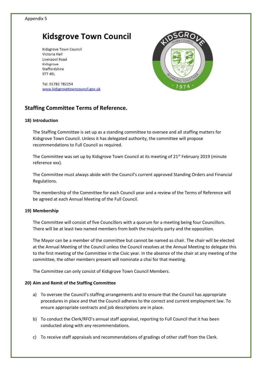Kidsgrove Town Council Victoria Hall Liverpool Road Kidsgrove Staffordshire ST7 4EL



Tel: 01782 782254 www.kidsgrovetowncouncil.gov.uk

## **Staffing Committee Terms of Reference.**

#### **18) Introduction**

The Staffing Committee is set up as a standing committee to oversee and all staffing matters for Kidsgrove Town Council. Unless it has delegated authority, the committee will propose recommendations to Full Council as required.

The Committee was set up by Kidsgrove Town Council at its meeting of  $21<sup>st</sup>$  February 2019 (minute reference xxx).

The Committee must always abide with the Council's current approved Standing Orders and Financial Regulations.

The membership of the Committee for each Council year and a review of the Terms of Reference will be agreed at each Annual Meeting of the Full Council.

### **19) Membership**

The Committee will consist of five Councillors with a quorum for a meeting being four Councillors. There will be at least two named members from both the majority party and the opposition.

The Mayor can be a member of the committee but cannot be named as chair. The chair will be elected at the Annual Meeting of the Council unless the Council resolves at the Annual Meeting to delegate this to the first meeting of the Committee in the Civic year. In the absence of the chair at any meeting of the committee, the other members present will nominate a chai for that meeting.

The Committee can only consist of Kidsgrove Town Council Members.

### **20) Aim and Remit of the Staffing Committee**

- a) To oversee the Council's staffing arrangements and to ensure that the Council has appropriate procedures in place and that the Council adheres to the correct and current employment law. To ensure appropriate contracts and job descriptions are in place.
- b) To conduct the Clerk/RFO's annual staff appraisal, reporting to Full Council that it has been conducted along with any recommendations.
- c) To receive staff appraisals and recommendations of gradings of other staff from the Clerk.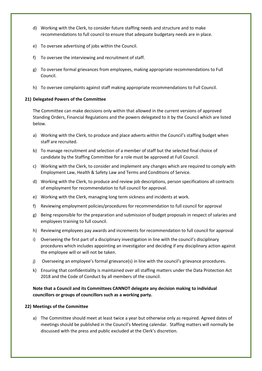- d) Working with the Clerk, to consider future staffing needs and structure and to make recommendations to full council to ensure that adequate budgetary needs are in place.
- e) To oversee advertising of jobs within the Council.
- f) To oversee the interviewing and recruitment of staff.
- g) To oversee formal grievances from employees, making appropriate recommendations to Full Council.
- h) To oversee complaints against staff making appropriate recommendations to Full Council.

## **21) Delegated Powers of the Committee**

The Committee can make decisions only within that allowed in the current versions of approved Standing Orders, Financial Regulations and the powers delegated to it by the Council which are listed below.

- a) Working with the Clerk, to produce and place adverts within the Council's staffing budget when staff are recruited.
- b) To manage recruitment and selection of a member of staff but the selected final choice of candidate by the Staffing Committee for a role must be approved at Full Council.
- c) Working with the Clerk, to consider and implement any changes which are required to comply with Employment Law, Health & Safety Law and Terms and Conditions of Service.
- d) Working with the Clerk, to produce and review job descriptions, person specifications all contracts of employment for recommendation to full council for approval.
- e) Working with the Clerk, managing long term sickness and incidents at work.
- f) Reviewing employment policies/procedures for recommendation to full council for approval
- g) Being responsible for the preparation and submission of budget proposals in respect of salaries and employees training to full council.
- h) Reviewing employees pay awards and increments for recommendation to full council for approval
- i) Overseeing the first part of a disciplinary investigation in line with the council's disciplinary procedures which includes appointing an investigator and deciding if any disciplinary action against the employee will or will not be taken.
- j) Overseeing an employee's formal grievance(s) in line with the council's grievance procedures.
- k) Ensuring that confidentiality is maintained over all staffing matters under the Data Protection Act 2018 and the Code of Conduct by all members of the council.

## **Note that a Council and its Committees CANNOT delegate any decision making to individual councillors or groups of councillors such as a working party.**

### **22) Meetings of the Committee**

a) The Committee should meet at least twice a year but otherwise only as required. Agreed dates of meetings should be published in the Council's Meeting calendar. Staffing matters will normally be discussed with the press and public excluded at the Clerk's discretion.